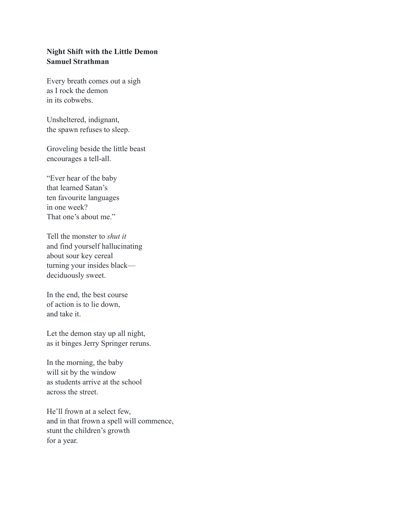## **Night Shift with the Little Demon Samuel Strathman**

Every breath comes out a sigh as I rock the demon in its cobwebs.

Unsheltered, indignant, the spawn refuses to sleep.

Groveling beside the little beast encourages a tell-all.

"Ever hear of the baby that learned Satan's ten favourite languages in one week? That one's about me."

Tell the monster to *shut it* and find yourself hallucinating about sour key cereal turning your insides black deciduously sweet.

In the end, the best course of action is to lie down, and take it.

Let the demon stay up all night, as it binges Jerry Springer reruns.

In the morning, the baby will sit by the window as students arrive at the school across the street.

He'll frown at a select few, and in that frown a spell will commence, stunt the children's growth for a year.